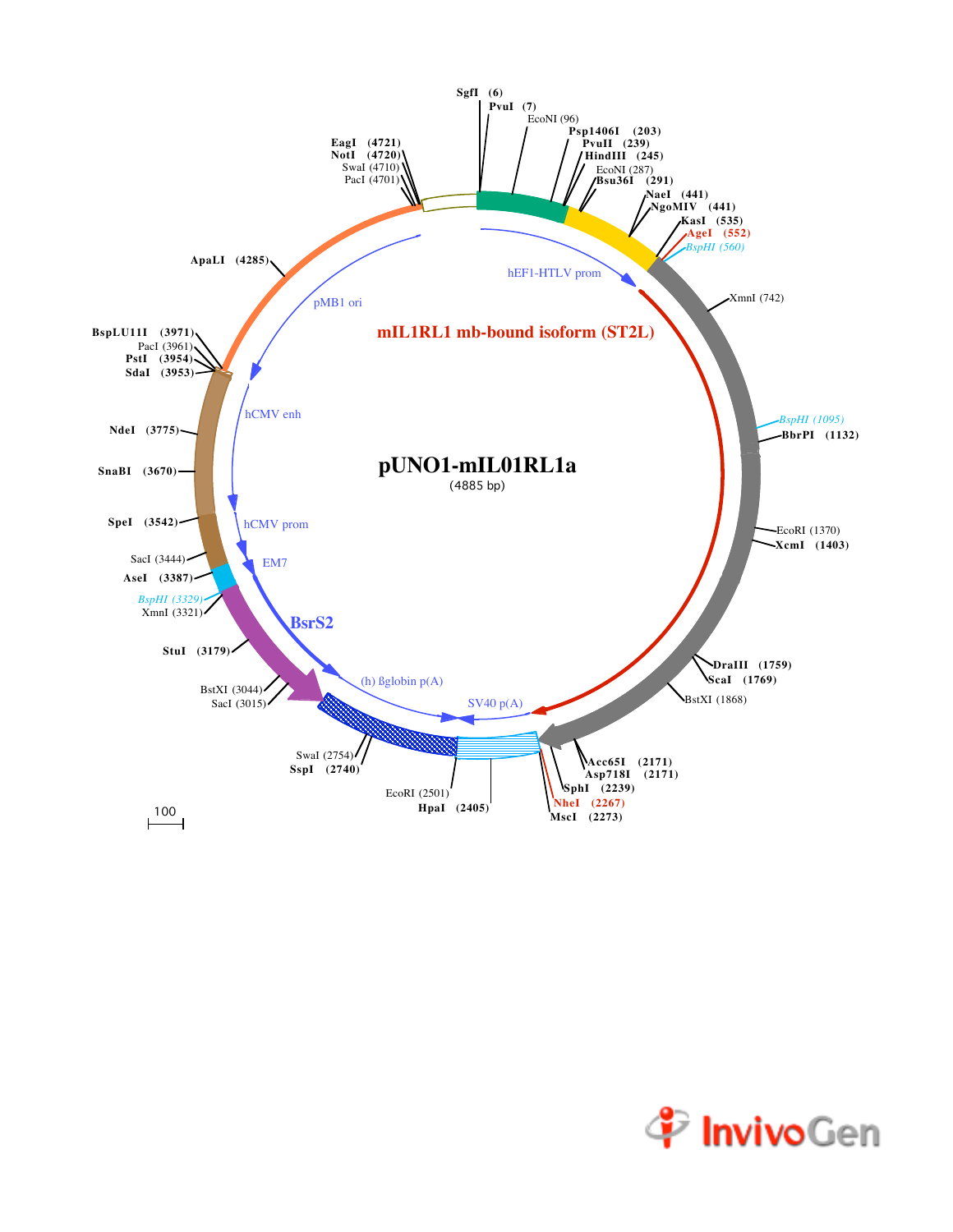

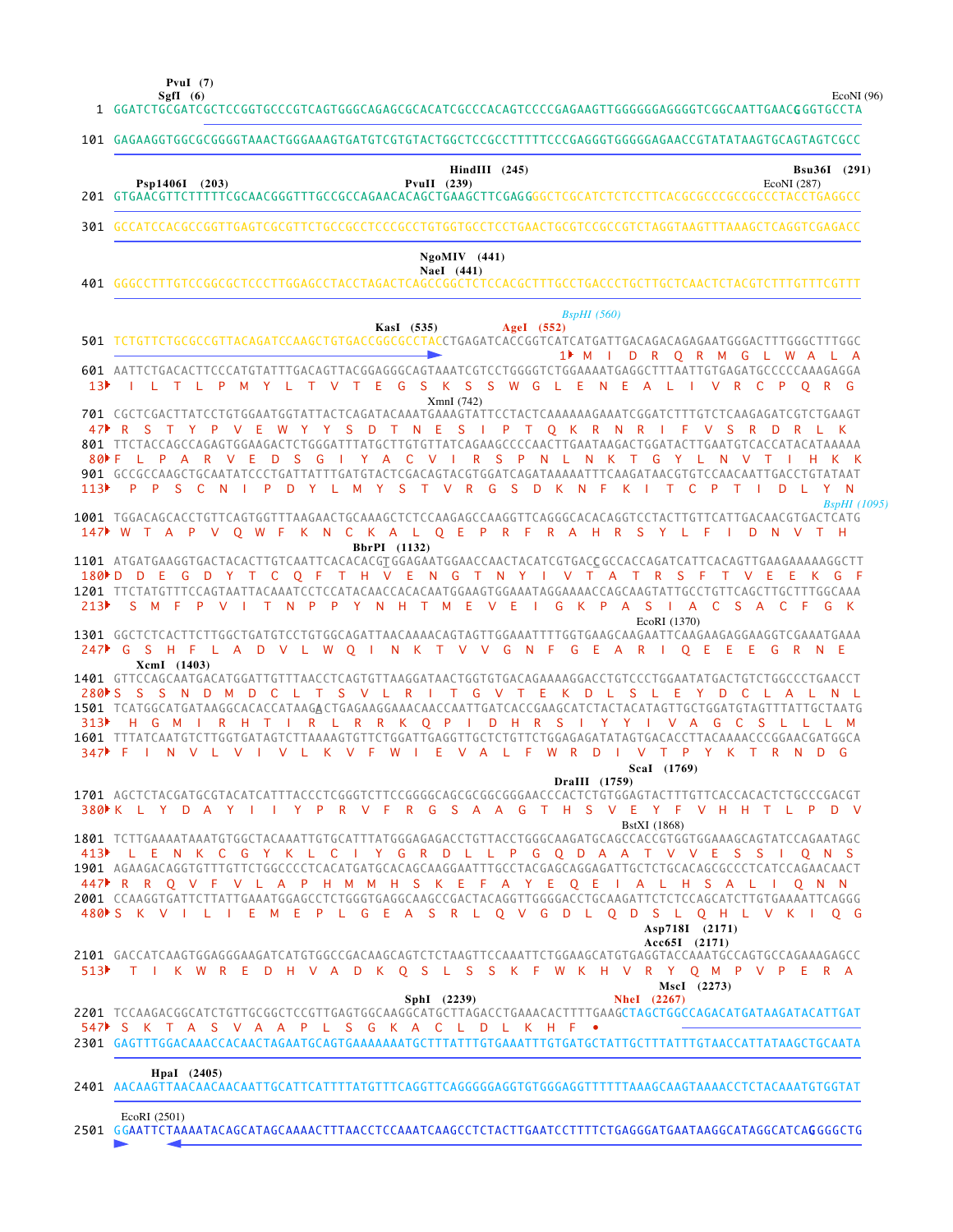**PvuI (7)**

EcoNI (96)

GGATCTGCGATCGCTCCGGTGCCCGTCAGTGGGCAGAGCGCACATCGCCCACAGTCCCCGAGAAGTTGGGGGGAGGGGTCGGCAATTGAACG GGTGCCTA 1 101 GAGAAGGTGGCGCGGGGTAAACTGGGAAAGTGATGTCGTGTACTGGCTCCGCCTTTTTCCCGAGGGTGGGGGAGAACCGTATATAAGTGCAGTAGTCGCC GTGAACGTTCTTTTTCGCAACGGGTTTGCCGCCAGAACACAGCTGAAGCTTCGAG GGGCTCGCATCTCTCCTTCACGCGCCCGCCGCCCTACCTGAGGCC 201 301 GCCATCCACGCCGGTTGAGTCGCGTTCTGCCGCCTCCCGCCTGTGGTGCCTCCTGAACTGCGTCCGCCGTCTAGGTAAGTTTAAAGCTCAGGTCGAGACC GGGCCTTTGTCCGGCGCTCCCTTGGAGCCTACCTAGACTCAGCCGGCTCTCCACGCTTTGCCTGACCCTGCTTGCTCAACTCTACGTCTTTGTTTCGTTT 401 TCTGTTCTGCGCCGTTACAGATCCAAGCTGTGACCGGCGCCTACCTGAGATCACCGGTCATCATGATTGACAGACAGAGAATGGGACTTTGGGCTTTGGC 501 AATTCTGACACTTCCCATGTATTTGACAGTTACGGAGGGCAGTAAATCGTCCTGGGGTCTGGAAAATGAGGCTTTAATTGTGAGATGCCCCCAAAGAGGA 601 701 CGCTCGACTTATCCTGTGGAATGGTATTACTCAGATACAAATGAAAGTATTCCTACTCAAAAAAGAAATCGGATCTTTGTCTCAAGAGATCGTCTGAAGT TTCTACCAGCCAGAGTGGAAGACTCTGGGATTTATGCTTGTGTTATCAGAAGCCCCAACTTGAATAAGACTGGATACTTGAATGTCACCATACATAAAAA 801 901 GCCGCCAAGCTGCAATATCCCTGATTATTTGATGTACTCGACAGTACGTGGATCAGATAAAAATTTCAAGATAACGTGTCCAACAATTGACCTGTATAAT 1001 TGGACAGCACCTGTTCAGTGGTTTAAGAACTGCAAAGCTCTCCAAGAGCCAAGGTTCAGGGCACACAGGTCCTACTTGTTCATTGACAACGTGACTCATG 1101 ATGATGAAGGTGACTACACTTGTCAATTCACACACGTGGAGAATGGAACCAACTACATCGTGACCGCCACCAGATCATTCACAGTTGAAGAAAAAGGCTT TTCTATGTTTCCAGTAATTACAAATCCTCCATACAACCACACAATGGAAGTGGAAATAGGAAAACCAGCAAGTATTGCCTGTTCAGCTTGCTTTGGCAAA 1201 1301 GGCTCTCACTTCTTGGCTGATGTCCTGTGGCAGATTAACAAAACAGTAGTTGGAAATTTTGGTGAAGCAAGAATTCAAGAAGAGGAAGGTCGAAATGAAA 1401 GTTCCAGCAATGACATGGATTGTTTAACCTCAGTGTTAAGGATAACTGGTGTGACAGAAAAGGACCTGTCCCTGGAATATGACTGTCTGGCCCTGAACCT 1501 TCATGGCATGATAAGGCACACCATAAG<u>A</u>CTGAGAAGGAAACCAACCAATTGATCACCGAAGCATCTACTACATAGTTGCTGGATGTAGTTTATTGCTAATG 1601 TTTATCAATGTCTTGGTGATAGTCTTAAAAGTGTTCTGGATTGAGGTTGCTCTGTTCTGGAGAGATATAGTGACACCTTACAAAACCCGGAACGATGGCA 1701 AGCTCTACGATGCGTACATCATTTACCCTCGGGTCTTCCGGGCGAGCGCGGCGGAACCCACTCTGTGGAGTACTTTGTTCACCACACTCTGCCCGACGT 1801 TCTTGAAAATAAATGTGGCTACAAATTGTGCATTTATGGGAGAGACCTGTTACCTGGGCAAGATGCAGCCACCGTGGTGGAAAGCAGTATCCAGAATAGC 1901 AGAAGACAGGTGTTTGTTCTGGCCCCTCACATGATGCACAGCAAGGAATTTGCCTACGAGCAGGAGATTGCTCTGCACAGCGCCCTCATCCAGAACAACT 2001 CCAAGGTGATTCTTATTGAAATGGAGCCTCTGGGTGAGGCAAGCCGACTACAGGTTGGGGACCTGCAAGATTCTCTCCAGCATCTTGTGAAAATTCAGGG 2101 GACCATCAAGTGGAGGGAAGATCATGTGGCCGACAAGCAGTCTCTAAGTTCCCAAATTCTGGAAGCATGTGAGGTACCAAATGCCAGTGCCAGAAAGAGCC TCCAAGACGGCATCTGTTGCGGCTCCGTTGAGTGGCAAGGCATGCTTAGACCTGAAACACTTTTGAAGCTAGCTGGCCAGACATGATAAGATACATTGAT 2201 2301 GAGTTTGGACAAACCACAACTAGAATGCAGTGAAAAAAATGCTTTATTTGTGAAATTTGTGATGCTATTGCTTTATTTGTAACCATTATAAGCTGCAATA 2401 AACAAGTTAACAACAACAATTGCATTCATTTTATGTTTCAGGTTCAGGGGGAGGTGTGGGAGGTTTTTTTAAAGCAAGTAAAACCTCTACAAATGTGGTAT M I D R Q R M G L W A L A 1 I L T L P M Y L T V T E G S K S S W G L E N E A L I V R C P Q R G 47 PRS TYP VEWYYS DTNESIPT Q KRN RIFV SRD RLK F L P A R V E D S G I Y A C V I R S P N L N K T G Y L N V T I H K K P P S C N I P D Y L M Y S T V R G S D K N F K I T C P T I D L Y N W T A P V Q W F K N C K A L Q E P R F R A H R S Y L F I D N V T H 147 D D E G D Y T C Q F T H V E N G T N Y I V T A T R S F T V E E K G F 180 S M F P V I T N P P Y N H T M E V E I G K P A S I A C S A C F G K 213 G S H F L A D V L W Q I N K T V V G N F G E A R I Q E E E G R N E 247 280ÞS S S N D M D C L T S V L R I T G V T E K D L S L E Y D C L A L N L H G M I R H T I R L R R K Q P I D H R S I Y Y I V A G C S L L L M 347 F I N V L V I V L K V F W I E V A L F W R D I V T P Y K T R N D G 380NK L Y D A Y I I Y P R V F R G S A A G T H S V E Y F V H H T L P D V L E N K C G Y K L C I Y G R D L L P G Q D A A T V V E S S I Q N S R R Q V F V L A P H M M H S K E F A Y E Q E I A L H S A L I Q N N 447 480NS K V I L I E M E P L G E A S R L Q V G D L Q D S L Q H L V K I Q G T I K W R E D H V A D K Q S L S S K F W K H V R Y Q M P V P E R A 513 S K T A S V A A P L S G K A C L D L K H F • 547**SgfI (6) Psp1406I (203) PvuII (239) HindIII (245)** EcoNI (287) **Bsu36I (291) NaeI (441) NgoMIV (441) KasI (535) AgeI (552)** *BspHI (560)* XmnI (742) *BspHI (1095)* **BbrPI (1132)** EcoRI (1370) **XcmI (1403) DraIII (1759) ScaI (1769)** BstXI (1868) **Acc65I (2171) Asp718I (2171) SphI (2239) NheI (2267) MscI (2273) HpaI (2405)** EcoRI (2501)  $13$  $80 \text{ F}$  $113$  $313$  $413$ 

2501 GGAATTCTAAAATACAGCATAGCAAAACTTTAACCTCCAAATCAAGCCTCTACTTGAATCCTTTTCTGAGGGATGAATAAGGCATAGGCATCA**G**GGGCTG